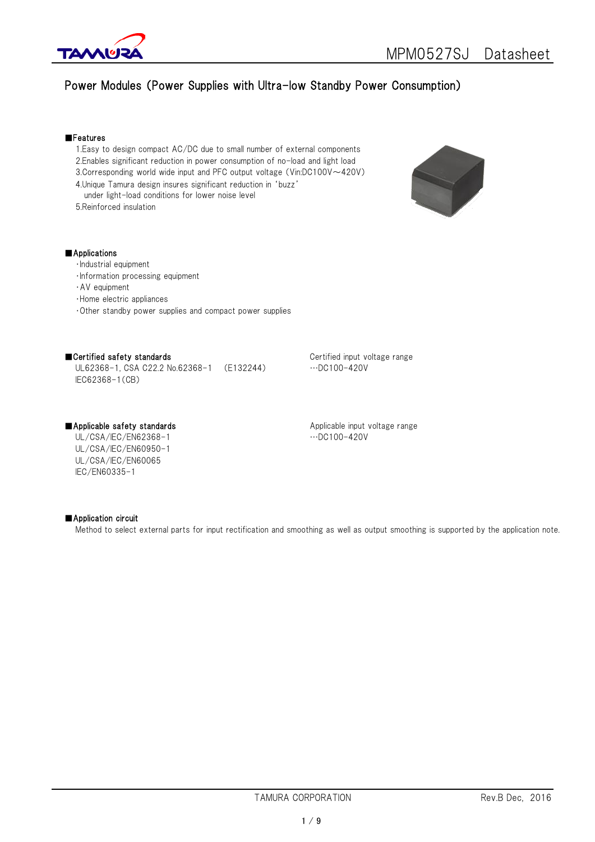

# Power Modules (Power Supplies with Ultra-low Standby Power Consumption)

#### ■Features

- 1.Easy to design compact AC/DC due to small number of external components 2.Enables significant reduction in power consumption of no-load and light load
- 3.Corresponding world wide input and PFC output voltage (Vin:DC100V~420V)
- 4.Unique Tamura design insures significant reduction in 'buzz'
- under light-load conditions for lower noise level
- 5.Reinforced insulation



#### ■Applications

- ・Industrial equipment
- ・Information processing equipment
- ・AV equipment
- ・Home electric appliances
- ・Other standby power supplies and compact power supplies

### ■Certified safety standards and all the Certified input voltage range

UL62368-1, CSA C22.2 No.62368-1 (E132244) …DC100-420V IEC62368-1(CB)

UL/CSA/IEC/EN62368-1 …DC100-420V UL/CSA/IEC/EN60950-1 UL/CSA/IEC/EN60065 IEC/EN60335-1

■Applicable safety standards Applicable input voltage range

#### ■ Application circuit

Method to select external parts for input rectification and smoothing as well as output smoothing is supported by the application note.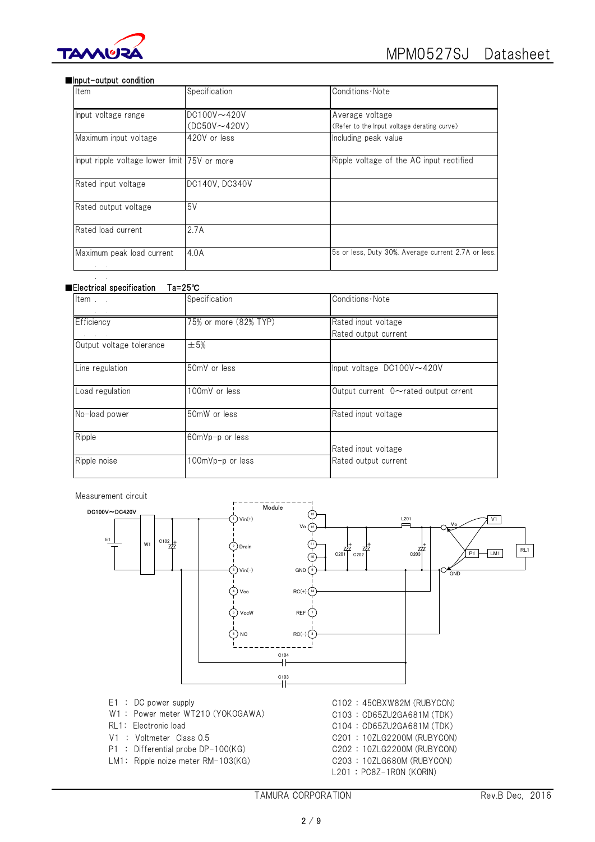

#### ■Input-output condition

| Item                                         | Specification       | Conditions Note                                     |
|----------------------------------------------|---------------------|-----------------------------------------------------|
| Input voltage range                          | $DC100V \sim 420V$  | Average voltage                                     |
|                                              | $(DC50V \sim 420V)$ | (Refer to the lnput voltage derating curve)         |
| Maximum input voltage                        | 420V or less        | Including peak value                                |
| Input ripple voltage lower limit 75V or more |                     | Ripple voltage of the AC input rectified            |
| Rated input voltage                          | DC140V, DC340V      |                                                     |
| Rated output voltage                         | 5V                  |                                                     |
| Rated load current                           | 2.7A                |                                                     |
| Maximum peak load current                    | 4.0A                | 5s or less, Duty 30%. Average current 2.7A or less. |

#### ■Electrical specification Ta=25℃

| Item                     | Specification         | Conditions · Note                           |
|--------------------------|-----------------------|---------------------------------------------|
| Efficiency               | 75% or more (82% TYP) | Rated input voltage<br>Rated output current |
| Output voltage tolerance | $\pm$ 5%              |                                             |
| Line regulation          | 50mV or less          | Input voltage DC100V~420V                   |
| Load regulation          | 100mV or less         | Output current $0 \sim$ rated output crrent |
| No-load power            | 50mW or less          | Rated input voltage                         |
| Ripple                   | 60mVp-p or less       | Rated input voltage                         |
| Ripple noise             | 100mVp-p or less      | Rated output current                        |

Measurement circuit



- 
- W1 : Power meter WT210 (YOKOGAWA) C103 : CD65ZU2GA681M (TDK)
- 
- 
- 
- LM1: Ripple noize meter RM-103(KG) C203 : 10ZLG680M (RUBYCON)
- E1 : DC power supply example that the C102 : 450BXW82M (RUBYCON) RL1: Electronic load C104 : CD65ZU2GA681M (TDK) V1 : Voltmeter Class 0.5 C201 : 10ZLG2200M (RUBYCON) P1 : Differential probe DP-100(KG) C202 : 10ZLG2200M (RUBYCON) L201: PC8Z-1R0N (KORIN)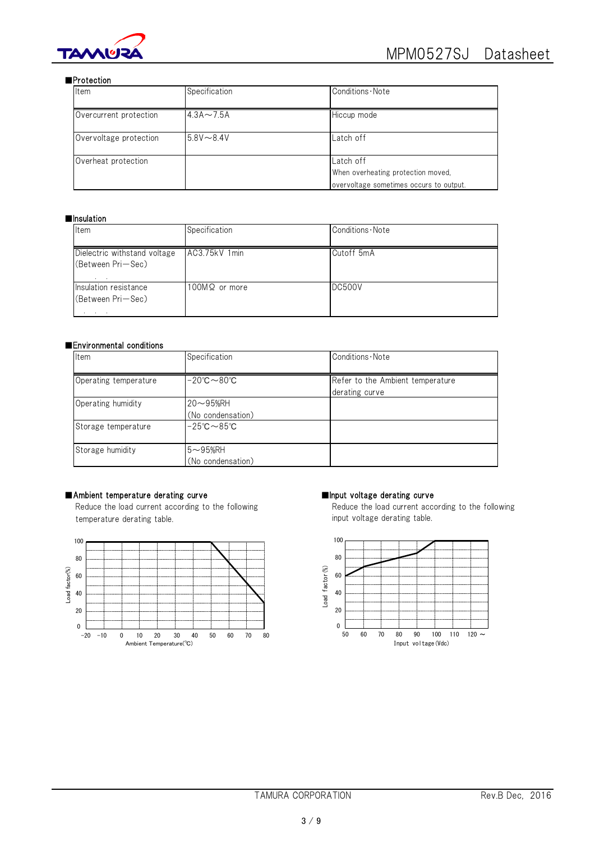

# ■Protection

| Item                   | Specification    | Conditions Note                                                                            |
|------------------------|------------------|--------------------------------------------------------------------------------------------|
| Overcurrent protection | $4.3A \sim 7.5A$ | Hiccup mode                                                                                |
| Overvoltage protection | $5.8V \sim 8.4V$ | Latch off                                                                                  |
| Overheat protection    |                  | Latch off<br>When overheating protection moved,<br>overvoltage sometimes occurs to output. |

#### ■Insulation

| Item                                              | Specification        | Conditions Note |
|---------------------------------------------------|----------------------|-----------------|
| Dielectric withstand voltage<br>(Between Pri-Sec) | AC3.75kV 1min        | Cutoff 5mA      |
| Insulation resistance<br>(Between Pri-Sec)        | $100M\Omega$ or more | <b>DC500V</b>   |

#### ■Environmental conditions

| Item                  | Specification                               | Conditions Note                                    |
|-----------------------|---------------------------------------------|----------------------------------------------------|
| Operating temperature | $-20^{\circ}$ C $\sim$ 80 $^{\circ}$ C      | Refer to the Ambient temperature<br>derating curve |
| Operating humidity    | $20\nthicksim95%$ RH<br>(No condensation)   |                                                    |
| Storage temperature   | $-25^\circ \text{C} \sim 85^\circ \text{C}$ |                                                    |
| Storage humidity      | $5 - 95%$ RH<br>(No condensation)           |                                                    |

### ■Ambient temperature derating curve ■Input voltage derating curve

temperature derating table. including the control of the control of the input voltage derating table.



Reduce the load current according to the following **Reduce the load current according to the following** 

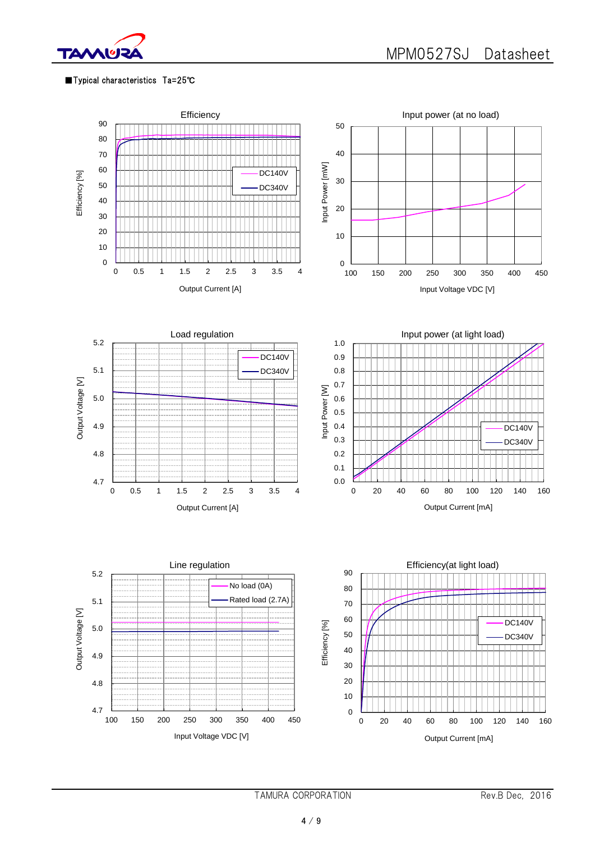

## ■Typical characteristics Ta=25℃



TAMURA CORPORATION Rev.B Dec, 2016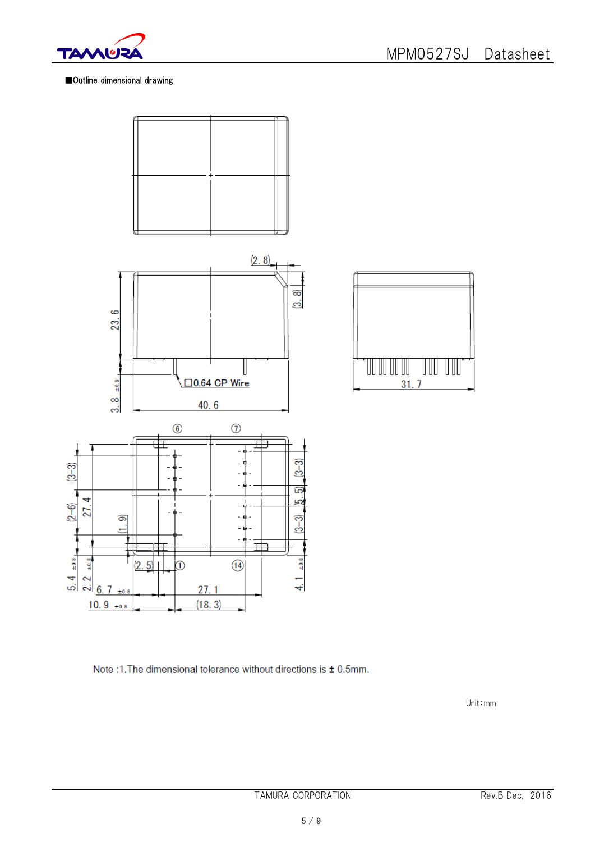

# ■Outline dimensional drawing





Note :1. The dimensional tolerance without directions is ± 0.5mm.

Unit:mm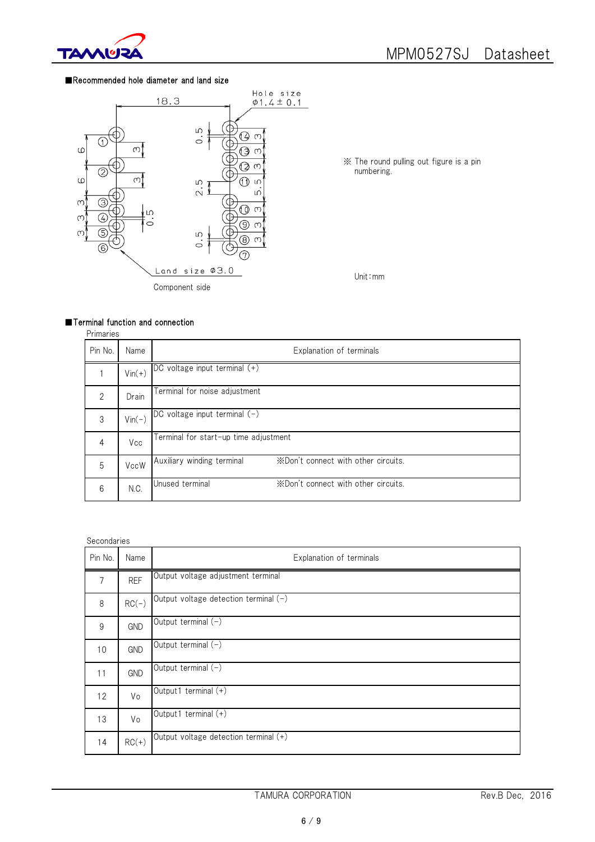

#### ■Recommended hole diameter and land size



 $\times$  The round pulling out figure is a pin numbering.

Unit:mm

# ■Terminal function and connection

| 12 г<br>г<br>- |  |
|----------------|--|
|                |  |

| Pin No.        | Name     | Explanation of terminals                                          |  |  |
|----------------|----------|-------------------------------------------------------------------|--|--|
|                | $Vin(+)$ | DC voltage input terminal (+)                                     |  |  |
| $\mathfrak{D}$ | Drain    | Terminal for noise adjustment                                     |  |  |
| 3              | $Vin(-)$ | DC voltage input terminal $(-)$                                   |  |  |
| $\overline{4}$ | Vcc      | Terminal for start-up time adjustment                             |  |  |
| 5              | VccW     | Auxiliary winding terminal<br>*Don't connect with other circuits. |  |  |
| 6              | N.C.     | *Don't connect with other circuits.<br>Unused terminal            |  |  |

#### Secondaries

| Pin No.          | Name       | Explanation of terminals              |
|------------------|------------|---------------------------------------|
| 7                | <b>REF</b> | Output voltage adjustment terminal    |
| 8                | $RC(-)$    | Output voltage detection terminal (-) |
| $\boldsymbol{9}$ | GND        | Output terminal (-)                   |
| 10               | GND        | Output terminal $(-)$                 |
| 11               | GND        | Output terminal $(-)$                 |
| 12               | Vo         | Output1 terminal (+)                  |
| 13               | Vo         | Output1 terminal (+)                  |
| 14               | $RC(+)$    | Output voltage detection terminal (+) |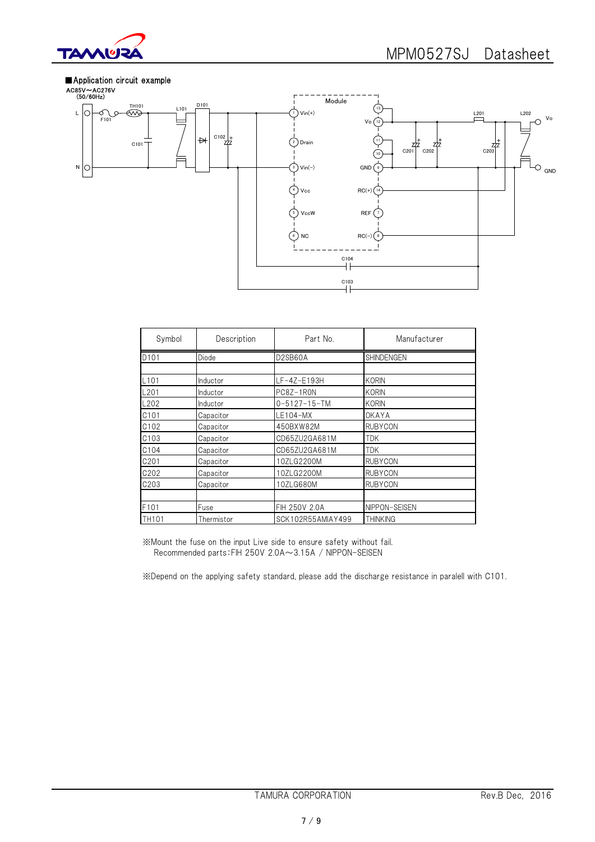



| Symbol           | Description | Part No.             | Manufacturer      |
|------------------|-------------|----------------------|-------------------|
| D101             | Diode       | D2SB60A              | <b>SHINDENGEN</b> |
|                  |             |                      |                   |
| L101             | Inductor    | LF-4Z-E193H          | <b>KORIN</b>      |
| L201             | Inductor    | PC8Z-1R0N            | <b>KORIN</b>      |
| L202             | Inductor    | $0 - 5127 - 15 - TM$ | <b>KORIN</b>      |
| C <sub>101</sub> | Capacitor   | LE104-MX             | OKAYA             |
| C <sub>102</sub> | Capacitor   | 450BXW82M            | <b>RUBYCON</b>    |
| C103             | Capacitor   | CD65ZU2GA681M        | <b>TDK</b>        |
| C104             | Capacitor   | CD65ZU2GA681M        | <b>TDK</b>        |
| C201             | Capacitor   | 10ZLG2200M           | <b>RUBYCON</b>    |
| C202             | Capacitor   | 10ZLG2200M           | <b>RUBYCON</b>    |
| C203             | Capacitor   | 10ZLG680M            | <b>RUBYCON</b>    |
|                  |             |                      |                   |
| F101             | Fuse        | FIH 250V 2.0A        | NIPPON-SEISEN     |
| <b>TH101</b>     | Thermistor  | SCK102R55AMIAY499    | <b>THINKING</b>   |

※Mount the fuse on the input Live side to ensure safety without fail. Recommended parts:FIH 250V 2.0A~3.15A / NIPPON-SEISEN

※Depend on the applying safety standard, please add the discharge resistance in paralell with C101.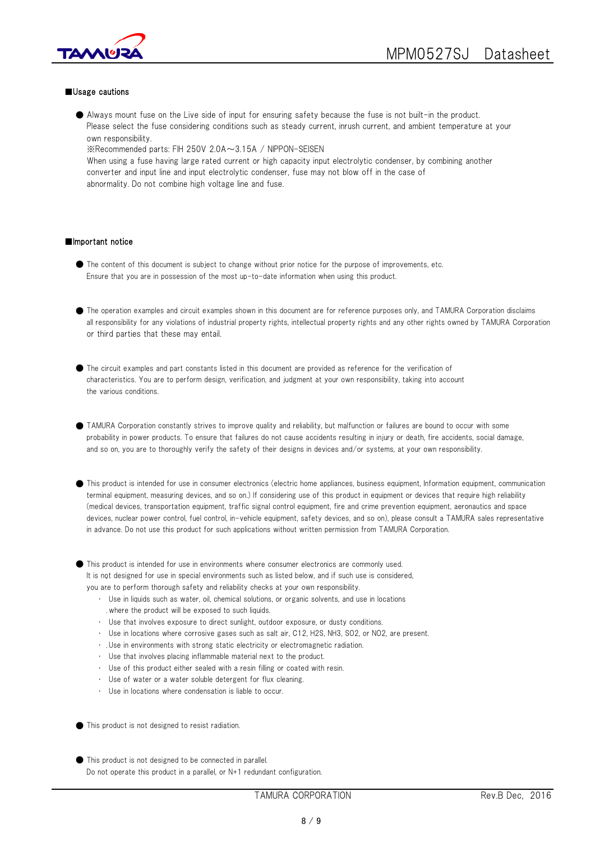

#### ■Usage cautions

● Always mount fuse on the Live side of input for ensuring safety because the fuse is not built-in the product. Please select the fuse considering conditions such as steady current, inrush current, and ambient temperature at your own responsibility.

※Recommended parts: FIH 250V 2.0A~3.15A / NIPPON-SEISEN When using a fuse having large rated current or high capacity input electrolytic condenser, by combining another converter and input line and input electrolytic condenser, fuse may not blow off in the case of abnormality. Do not combine high voltage line and fuse.

#### ■Important notice

- The content of this document is subject to change without prior notice for the purpose of improvements, etc. Ensure that you are in possession of the most up-to-date information when using this product.
- The operation examples and circuit examples shown in this document are for reference purposes only, and TAMURA Corporation disclaims all responsibility for any violations of industrial property rights, intellectual property rights and any other rights owned by TAMURA Corporation or third parties that these may entail.

● The circuit examples and part constants listed in this document are provided as reference for the verification of characteristics. You are to perform design, verification, and judgment at your own responsibility, taking into account the various conditions.

- TAMURA Corporation constantly strives to improve quality and reliability, but malfunction or failures are bound to occur with some probability in power products. To ensure that failures do not cause accidents resulting in injury or death, fire accidents, social damage, and so on, you are to thoroughly verify the safety of their designs in devices and/or systems, at your own responsibility.
- This product is intended for use in consumer electronics (electric home appliances, business equipment, Information equipment, communication terminal equipment, measuring devices, and so on.) If considering use of this product in equipment or devices that require high reliability (medical devices, transportation equipment, traffic signal control equipment, fire and crime prevention equipment, aeronautics and space devices, nuclear power control, fuel control, in-vehicle equipment, safety devices, and so on), please consult a TAMURA sales representative in advance. Do not use this product for such applications without written permission from TAMURA Corporation.
- This product is intended for use in environments where consumer electronics are commonly used. It is not designed for use in special environments such as listed below, and if such use is considered, you are to perform thorough safety and reliability checks at your own responsibility.
	- ・ Use in liquids such as water, oil, chemical solutions, or organic solvents, and use in locations where the product will be exposed to such liquids.
	- ・ Use that involves exposure to direct sunlight, outdoor exposure, or dusty conditions.
	- ・ Use in locations where corrosive gases such as salt air, C12, H2S, NH3, SO2, or NO2, are present.
	- ・ Use in environments with strong static electricity or electromagnetic radiation.
	- ・ Use that involves placing inflammable material next to the product.
	- Use of this product either sealed with a resin filling or coated with resin.
	- Use of water or a water soluble detergent for flux cleaning.
	- ・ Use in locations where condensation is liable to occur.
- This product is not designed to resist radiation.
- This product is not designed to be connected in parallel. Do not operate this product in a parallel, or N+1 redundant configuration.